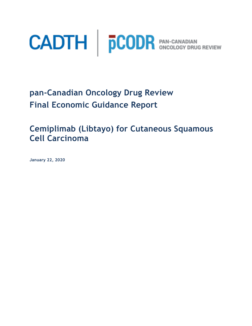

**pan-Canadian Oncology Drug Review Final Economic Guidance Report** 

**Cemiplimab (Libtayo) for Cutaneous Squamous Cell Carcinoma**

**January 22, 2020**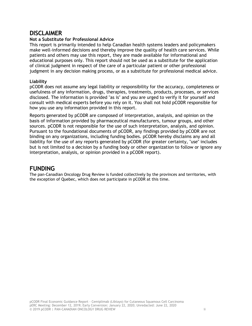# <span id="page-1-0"></span>**DISCLAIMER**

### **Not a Substitute for Professional Advice**

This report is primarily intended to help Canadian health systems leaders and policymakers make well-informed decisions and thereby improve the quality of health care services. While patients and others may use this report, they are made available for informational and educational purposes only. This report should not be used as a substitute for the application of clinical judgment in respect of the care of a particular patient or other professional judgment in any decision making process, or as a substitute for professional medical advice.

### **Liability**

pCODR does not assume any legal liability or responsibility for the accuracy, completeness or usefulness of any information, drugs, therapies, treatments, products, processes, or services disclosed. The information is provided "as is" and you are urged to verify it for yourself and consult with medical experts before you rely on it. You shall not hold pCODR responsible for how you use any information provided in this report.

Reports generated by pCODR are composed of interpretation, analysis, and opinion on the basis of information provided by pharmaceutical manufacturers, tumour groups, and other sources. pCODR is not responsible for the use of such interpretation, analysis, and opinion. Pursuant to the foundational documents of pCODR, any findings provided by pCODR are not binding on any organizations, including funding bodies. pCODR hereby disclaims any and all liability for the use of any reports generated by pCODR (for greater certainty, "use" includes but is not limited to a decision by a funding body or other organization to follow or ignore any interpretation, analysis, or opinion provided in a pCODR report).

# <span id="page-1-1"></span>**FUNDING**

The pan-Canadian Oncology Drug Review is funded collectively by the provinces and territories, with the exception of Quebec, which does not participate in pCODR at this time.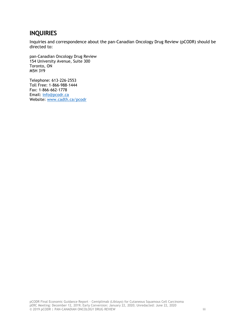# <span id="page-2-0"></span>**INQUIRIES**

Inquiries and correspondence about the pan-Canadian Oncology Drug Review (pCODR) should be directed to:

pan-Canadian Oncology Drug Review 154 University Avenue, Suite 300 Toronto, ON M5H 3Y9

Telephone: 613-226-2553 Toll Free: 1-866-988-1444 Fax: 1-866-662-1778 Email: [info@pcodr.ca](mailto:info@pcodr.ca) Website: [www.cadth.ca/pcodr](http://www.cadth.ca/pcodr)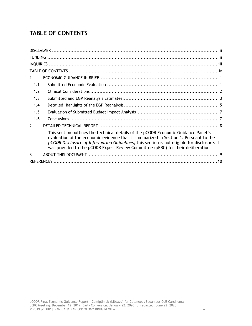# <span id="page-3-0"></span>**TABLE OF CONTENTS**

| $\mathbf{1}$  |                                                                                                                                                                                                                                                                                                                                                                |  |  |  |
|---------------|----------------------------------------------------------------------------------------------------------------------------------------------------------------------------------------------------------------------------------------------------------------------------------------------------------------------------------------------------------------|--|--|--|
| 1.1           |                                                                                                                                                                                                                                                                                                                                                                |  |  |  |
| 1.2           |                                                                                                                                                                                                                                                                                                                                                                |  |  |  |
| 1.3           |                                                                                                                                                                                                                                                                                                                                                                |  |  |  |
| 1.4           |                                                                                                                                                                                                                                                                                                                                                                |  |  |  |
| 1.5           |                                                                                                                                                                                                                                                                                                                                                                |  |  |  |
| 1.6           |                                                                                                                                                                                                                                                                                                                                                                |  |  |  |
| $\mathcal{P}$ |                                                                                                                                                                                                                                                                                                                                                                |  |  |  |
|               | This section outlines the technical details of the pCODR Economic Guidance Panel's<br>evaluation of the economic evidence that is summarized in Section 1. Pursuant to the<br>pCODR Disclosure of Information Guidelines, this section is not eligible for disclosure. It<br>was provided to the pCODR Expert Review Committee (pERC) for their deliberations. |  |  |  |
| $\mathbf{3}$  |                                                                                                                                                                                                                                                                                                                                                                |  |  |  |
|               |                                                                                                                                                                                                                                                                                                                                                                |  |  |  |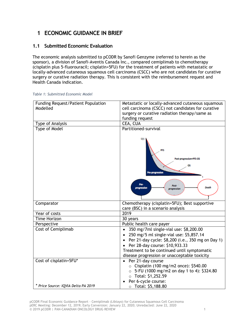# <span id="page-4-0"></span>**1 ECONOMIC GUIDANCE IN BRIEF**

## <span id="page-4-1"></span>**1.1 Submitted Economic Evaluation**

The economic analysis submitted to pCODR by Sanofi Genzyme (referred to herein as the sponsor), a division of Sanofi-Aventis Canada Inc., compared cemiplimab to chemotherapy (cisplatin plus 5-fluorouracil; cisplatin+5FU) for the treatment of patients with metastatic or locally-advanced cutaneous squamous cell carcinoma (CSCC) who are not candidates for curative surgery or curative radiation therapy. This is consistent with the reimbursement request and Health Canada indication.

| <b>Funding Request/Patient Population</b><br>Modelled | Metastatic or locally-advanced cutaneous squamous<br>cell carcinoma (CSCC) not candidates for curative<br>surgery or curative radiation therapy/same as |  |  |  |
|-------------------------------------------------------|---------------------------------------------------------------------------------------------------------------------------------------------------------|--|--|--|
|                                                       | funding request                                                                                                                                         |  |  |  |
| Type of Analysis                                      | CEA, CUA                                                                                                                                                |  |  |  |
| Type of Model                                         | Partitioned-survival<br>S(t)                                                                                                                            |  |  |  |
|                                                       | PFS<br>Post-progression=PFS-OS<br>OS<br>Pre-progression<br>Pre<br>Post-<br>Death<br>progression<br>progression                                          |  |  |  |
| Comparator                                            | Chemotherapy (cisplatin+5FU); Best supportive<br>care (BSC) in a scenario analysis                                                                      |  |  |  |
| Year of costs                                         | 2019                                                                                                                                                    |  |  |  |
| Time Horizon                                          | 30 years                                                                                                                                                |  |  |  |
| Perspective                                           | Public health care payer                                                                                                                                |  |  |  |
| Cost of Cemiplimab                                    | 350 mg/7ml single-vial use: \$8,200.00                                                                                                                  |  |  |  |
|                                                       | 250 mg/5 ml single-vial use: \$5,857.14<br>$\bullet$                                                                                                    |  |  |  |
|                                                       | Per 21-day cycle: \$8,200 (i.e., 350 mg on Day 1)<br>$\bullet$                                                                                          |  |  |  |
|                                                       | Per 28-day course: \$10,933.33<br>$\bullet$                                                                                                             |  |  |  |
|                                                       | Treatment to be continued until symptomatic                                                                                                             |  |  |  |
|                                                       | disease progression or unacceptable toxicity                                                                                                            |  |  |  |
| Cost of cisplatin+5FU*                                | Per 21-day course<br>$\bullet$                                                                                                                          |  |  |  |
|                                                       | $\circ$ Cisplatin (100 mg/m2 once): \$540.00                                                                                                            |  |  |  |
|                                                       | $\circ$ 5-FU (1000 mg/m2 on day 1 to 4): \$324.80<br>$\circ$ Total: \$1,252.59                                                                          |  |  |  |
|                                                       | Per 6-cycle course:<br>$\bullet$                                                                                                                        |  |  |  |
| * Price Source: IQVIA Delta PA 2019                   | $\circ$ Total: \$5,188.80                                                                                                                               |  |  |  |

#### *Table 1: Submitted Economic Model*

pCODR Final Economic Guidance Report - Cemiplimab (Libtayo) for Cutaneous Squamous Cell Carcinoma pERC Meeting: December 12, 2019; Early Conversion: January 22, 2020; Unredacted: June 22, 2020 © 2019 pCODR | PAN-CANADIAN ONCOLOGY DRUG REVIEW 1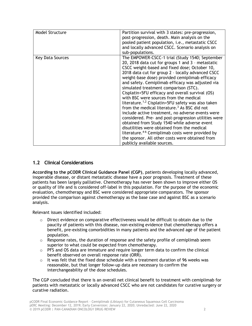| Model Structure  | Partition survival with 3 states: pre-progression,<br>post-progression, death. Main analysis on the<br>pooled patient population, <i>i.e.</i> , metastatic CSCC<br>and locally advanced CSCC. Scenario analysis on<br>sub-populations.                                                                                                                                                                                                                                                                                                                                                                                                                                                                                                                                                                                                                                                                                                             |
|------------------|----------------------------------------------------------------------------------------------------------------------------------------------------------------------------------------------------------------------------------------------------------------------------------------------------------------------------------------------------------------------------------------------------------------------------------------------------------------------------------------------------------------------------------------------------------------------------------------------------------------------------------------------------------------------------------------------------------------------------------------------------------------------------------------------------------------------------------------------------------------------------------------------------------------------------------------------------|
| Key Data Sources | The EMPOWER-CSCC-1 trial (Study 1540; September<br>20, 2018 data cut for groups 1 and 3 - metastatic<br>CSCC weight-based and fixed dose; October 10,<br>2018 data cut for group 2 - locally advanced CSCC<br>weight-base dose) provided cemiplimab efficacy<br>and safety. Cemiplimab efficacy was adjusted via<br>simulated treatment comparison (STC).<br>Cisplatin+5FU efficacy and overall survival (OS)<br>with BSC were sources from the medical<br>literature. <sup>1,2</sup> Cisplatin+5FU safety was also taken<br>from the medical literature. <sup>3</sup> As BSC did not<br>include active treatment, no adverse events were<br>considered. Pre- and post-progression utilities were<br>obtained from Study 1540 while adverse event<br>disutilities were obtained from the medical<br>literature. <sup>4-6</sup> Cemiplimab costs were provided by<br>the sponsor. All other costs were obtained from<br>publicly available sources. |

### <span id="page-5-0"></span>**1.2 Clinical Considerations**

**According to the pCODR Clinical Guidance Panel (CGP)**, patients developing locally advanced, inoperable disease, or distant metastatic disease have a poor prognosis. Treatment of these patients has been largely palliative. Chemotherapy has never been shown to improve either OS or quality of life and is considered off-label in this population. For the purpose of the economic evaluation, chemotherapy and BSC were considered appropriate comparators. The sponsor provided the comparison against chemotherapy as the base case and against BSC as a scenario analysis.

Relevant issues identified included:

- $\circ$  Direct evidence on comparative effectiveness would be difficult to obtain due to the paucity of patients with this disease, non-existing evidence that chemotherapy offers a benefit, pre-existing comorbidities in many patients and the advanced age of the patient population.
- $\circ$  Response rates, the duration of response and the safety profile of cemiplimab seem superior to what could be expected from chemotherapy.
- $\circ$  PFS and OS data are immature and require longer term data to confirm the clinical benefit observed on overall response rate (ORR).
- $\circ$  It was felt that the fixed dose schedule with a treatment duration of 96 weeks was reasonable, but that longer follow-up data are necessary to confirm the interchangeability of the dose schedules.

The CGP concluded that there is an overall net clinical benefit to treatment with cemiplimab for patients with metastatic or locally advanced CSCC who are not candidates for curative surgery or curative radiation.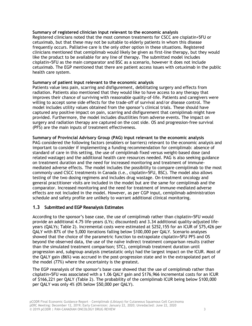#### **Summary of registered clinician input relevant to the economic analysis**

Registered clinicians noted that the most common treatments for CSCC are cisplatin+5FU or cetuximab, but that these may not be suitable to elderly patients in whom this disease frequently occurs. Palliative care is the only other option in these situations. Registered clinicians mentioned that cemiplimab would likely be given as first-line therapy, but they would like the product to be available for any line of therapy. The submitted model includes cisplatin+5FU as the main comparator and BSC as a scenario, however it does not include cetuximab. The EGP mentioned that there are patient access issues with cetuximab in the public health care system.

#### **Summary of patient input relevant to the economic analysis**

Patients value less pain, scarring and disfigurement, debilitating surgery and effects from radiation. Patients also mentioned that they would like to have access to any therapy that improves their chance of surviving with reasonable quality-of-life. Patients and caregivers were willing to accept some side effects for the trade-off of survival and/or disease control. The model includes utility values obtained from the sponsor's clinical trials. These should have captured any positive impact on pain, scarring and disfigurement that cemiplimab might have provided. Furthermore, the model includes disutilities from adverse events. The impact on surgery and radiation therapy are captured on the cost side. OS and progression-free survival (PFS) are the main inputs of treatment effectiveness.

#### **Summary of Provincial Advisory Group (PAG) input relevant to the economic analysis**

PAG considered the following factors (enablers or barriers) relevant to the economic analysis and important to consider if implementing a funding recommendation for cemiplimab: absence of standard of care in this setting, the use of cemiplimab fixed versus weight-based dose (and related wastage) and the additional health care resources needed. PAG is also seeking guidance on treatment duration and the need for increased monitoring and treatment of immunemediated adverse effects. The model includes the possibility to compare cemiplimab to the most commonly used CSCC treatments in Canada (i.e., cisplatin+5FU, BSC). The model also allows testing of the two dosing regimens and includes drug wastage. On-treatment oncology and general practitioner visits are included in the model but are the same for cemiplimab and the comparator. Increased monitoring and the need for treatment of immune-mediated adverse effects are not included in the model. However, as per CGP input, cemiplimab administration schedule and safety profile are unlikely to warrant additional clinical monitoring.

### <span id="page-6-0"></span>**1.3 Submitted and EGP Reanalysis Estimates**

According to the sponsor's base case, the use of cemiplimab rather than cisplatin+5FU would provide an additional 4.75 life-years (LYs; discounted) and 3.34 additional quality-adjusted lifeyears (QALYs; [Table 2\)](#page-7-0). Incremental costs were estimated at \$252,155 for an ICUR of \$75,426 per QALY with 87% of the 5,000 iterations falling below \$100,000 per QALY. Scenario analyses showed that the choice of the parametric function to extrapolate cisplatin+5FU PFS and OS beyond the observed data, the use of the naïve indirect treatment comparison results (rather than the simulated treatment comparison; STC), cemiplimab treatment duration until progression and, subgroup analysis (metastatic only) had the largest impact on the ICUR. Most of the QALY gain (86%) was accrued in the post-progression state and in the extrapolated part of the model (77%) where the uncertainty is the greatest.

The EGP reanalysis of the sponsor's base case showed that the use of cemiplimab rather than cisplatin+5FU was associated with a 1.06 QALY gain and \$176,966 incremental costs for an ICUR of \$166,221 per QALY [\(Table 2\)](#page-7-0). The probability of the cemiplimab ICUR being below \$100,000 per QALY was only 4% (0% below \$50,000 per QALY).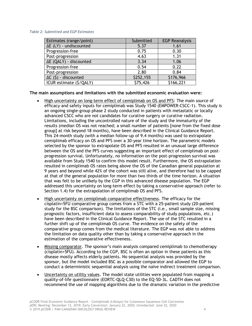#### <span id="page-7-0"></span>*Table 2: Submitted and EGP Estimates*

| Estimates (range/point)        | Submitted | <b>EGP Reanalysis</b> |  |
|--------------------------------|-----------|-----------------------|--|
| $\Delta E$ (LY) - undiscounted | 5.37      | 1.61                  |  |
| Progression-free               | 0.75      | 0.30                  |  |
| Post-progression               | 4.63      | 1.31                  |  |
| ΔE (QALY) - discounted         | 3.34      | 1.06                  |  |
| Progression-free               | 0.54      | 0.22                  |  |
| Post-progression               | 2.80      | 0.84                  |  |
| $\Delta C$ (\$) - discounted   | \$252,155 | \$176,966             |  |
| ICUR estimate (\$/QALY)        | \$75,426  | \$166,221             |  |

**The main assumptions and limitations with the submitted economic evaluation were:**

- High uncertainty on long-term effect of cemiplimab on OS and PFS: The main source of efficacy and safety inputs for cemiplimab was Study 1540 (EMPOWER-CSCC-1). This study is an ongoing single-group phase 2 study conducted in patients with metastatic or locally advanced CSCC who are not candidates for curative surgery or curative radiation. Limitations, including the uncontrolled nature of the study and the immaturity of the results (median OS was not reached; a small number of patients [none from the fixed dose group] at risk beyond 18 months), have been described in the Clinical Guidance Report. This 24-month study (with a median follow-up of 9.4 months) was used to extrapolate cemiplimab efficacy on OS and PFS over a 30-year time horizon. The parametric models selected by the sponsor to extrapolate OS and PFS resulted in an unusual large difference between the OS and the PFS curves suggesting an important effect of cemiplimab on postprogression survival. Unfortunately, no information on the post-progression survival was available from Study 1540 to confirm this model result. Furthermore, the OS extrapolation resulted in cemiplimab OS rates being above the OS of the Canadian general population at 9 years and beyond while 42% of the cohort was still alive, and therefore had to be capped at that of the general population for more than two thirds of the time horizon. A situation that was felt to be unlikely by the CGP in this advanced disease population. The EGP addressed this uncertainty on long-term effect by taking a conservative approach (refer to Section 1.4) for the extrapolation of cemiplimab OS and PFS.
- High uncertainty on cemiplimab comparative effectiveness. The efficacy for the cisplatin+5FU comparative group comes from a STC with a 25-patient study (20-patient study for the BSC comparison). The limitations of the STC (i.e., small sample size, missing prognostic factors, insufficient data to assess comparability of study populations, etc.) have been described in the Clinical Guidance Report. The use of the STC resulted in a further shift up of the cemiplimab OS curve. The evidence on the safety of the comparative group comes from the medical literature. The EGP was not able to address the limitation on data quality other than by taking a conservative approach in the estimation of the comparative effectiveness.
- Missing comparator. The sponsor's main analysis compared cemiplimab to chemotherapy (cisplatin+5FU). According to the CGP, BSC is often an option in these patients as this disease mostly affects elderly patients. No sequential analysis was provided by the sponsor, but the model included BSC as a possible comparator and allowed the EGP to conduct a deterministic sequential analysis using the naïve indirect treatment comparison.
- Uncertainty on utility values. The model state utilities were populated from mapping a quality-of-life questionnaire (EORTC-QLQ-C30) to the EQ-5D-3L. CADTH does not recommend the use of mapping algorithms due to the dramatic variation in the predictive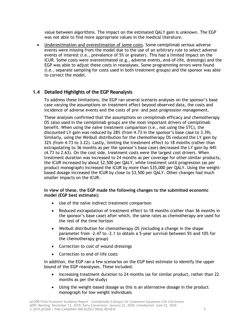value between algorithms. The impact on the estimated QALY gain is unknown. The EGP was not able to find more appropriate values in the medical literature.

• Underestimation and overestimation of some costs. Some cemiplimab serious adverse events were missing from the model due to the use of an arbitrary rule to select adverse events of interest (i.e., prevalence of 5% or greater). This had a limited impact on the ICUR. Some costs were overestimated (e.g., adverse events, end-of-life, dressings) and the EGP was able to adjust these costs in reanalyses. Some programming errors were found (i.e., separate sampling for costs used in both treatment groups) and the sponsor was able to correct the model.

### <span id="page-8-0"></span>**1.4 Detailed Highlights of the EGP Reanalysis**

To address these limitations, the EGP ran several scenario analyses on the sponsor's base case varying the assumptions on treatment effect beyond observed data, the costs and incidence of adverse events and the costs of pre- and post-progression management.

These analyses confirmed that the assumptions on cemiplimab efficacy and chemotherapy OS (also used in the cemiplimab group) are the most important drivers of cemiplimab benefit. When using the naïve treatment comparison (i.e., not using the STC), the discounted LY gain was reduced by 28% (from 4.73 in the sponsor's base case to 3.39). Similarly, using the Weibull distribution for the chemotherapy OS reduced the LY gain by 32% (from 4.73 to 3.22). Lastly, limiting the treatment effect to 18 months (rather than extrapolating to 36 months as per the sponsor's base case) decreased the LY gain by 44% (4.73 to 2.63). On the cost side, treatment costs were the largest cost drivers. When treatment duration was increased to 24 months as per coverage for other similar products, the ICUR increased by about \$2,500 per QALY, while treatment until progression (as per product monograph) increased the ICUR by more than \$35,000 per QALY. Using the weightbased dosage increased the ICUR by close to \$3,500 per QALY. Other changes had much smaller impacts on the ICUR.

#### **In view of these, the EGP made the following changes to the submitted economic model (EGP best estimate):**

- Use of the naïve indirect treatment comparison
- Reduced extrapolation of treatment effect to 18 months (rather than 36 months in the sponsor's base case) after which, the same rates as chemotherapy are used for the rest of the time horizon
- Weibull distribution for chemotherapy OS (including a change in the shape parameter from -2.47 to -2.1 to obtain a 5-year survival between 5% and 10% for the chemotherapy group)
- Correction to cost of wound dressings
- Correction to end-of-life costs

In addition, the EGP ran a few scenarios on the EGP best estimate to identify the upper bound of the EGP reanalyses. These included:

- Increasing treatment duration to 24 months (as for similar product, rather than 22 months as per the study)
- Using the weight-based dosage as this is an alternative dosage in the product monograph for low weight individuals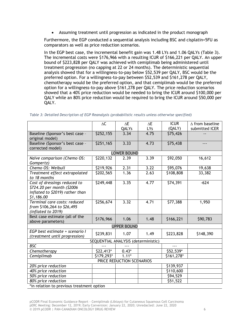• Assuming treatment until progression as indicated in the product monograph

Furthermore, the EGP conducted a sequential analysis including BSC and cisplatin+5FU as comparators as well as price reduction scenarios.

In the EGP best case, the incremental benefit gain was 1.48 LYs and 1.06 QALYs [\(Table 3\)](#page-9-0). The incremental costs were \$176,966 with a resulting ICUR of \$166,221 per QALY. An upper bound of \$223,828 per QALY was achieved with cemiplimab being administered until treatment progression (no capping at 22 or 24 months). The deterministic sequential analysis showed that for a willingness-to-pay below \$52,539 per QALY, BSC would be the preferred option. For a willingness-to-pay between \$52,539 and \$161,278 per QALY, chemotherapy would be the preferred option, and that cemiplimab would be the preferred option for a willingness-to-pay above \$161,278 per QALY. The price reduction scenarios showed that a 40% price reduction would be needed to bring the ICUR around \$100,000 per QALY while an 80% price reduction would be required to bring the ICUR around \$50,000 per QALY.

|                                           | $\Delta\mathsf{C}$ | $\Delta E$         | $\Delta E$ | <b>ICUR</b>          | $\Delta$ from baseline |  |  |  |  |  |
|-------------------------------------------|--------------------|--------------------|------------|----------------------|------------------------|--|--|--|--|--|
|                                           |                    | QALYs              | <b>LYs</b> | (QALY)               | submitted ICER         |  |  |  |  |  |
| Baseline (Sponsor's best case -           | \$252,155          | 3.34               | 4.75       | \$75,426             |                        |  |  |  |  |  |
| original model)                           |                    |                    |            |                      |                        |  |  |  |  |  |
| Baseline (Sponsor's best case -           | \$251,165          | 3.33               | 4.73       | $\overline{575,438}$ | ---                    |  |  |  |  |  |
| corrected model)                          |                    |                    |            |                      |                        |  |  |  |  |  |
| <b>LOWER BOUND</b>                        |                    |                    |            |                      |                        |  |  |  |  |  |
| Naïve comparison (Chemo OS:               | \$220,132          | 2.39               | 3.39       | \$92,050             | 16,612                 |  |  |  |  |  |
| Gompertz)                                 |                    |                    |            |                      |                        |  |  |  |  |  |
| Chemo OS: Weibull                         | \$219,926          | 2.31               | 3.22       | \$95,076             | 19,638                 |  |  |  |  |  |
| Treatment effect extrapolated             | \$202,565          | 1.36               | 2.63       | \$108,808            | 33,382                 |  |  |  |  |  |
| to 18 months                              |                    |                    |            |                      |                        |  |  |  |  |  |
| Cost of dressings reduced to              | \$249,448          | 3.35               | 4.77       | 574,391              | $-624$                 |  |  |  |  |  |
| \$724.20 per month (\$2006                |                    |                    |            |                      |                        |  |  |  |  |  |
| inflated to \$2019) rather than           |                    |                    |            |                      |                        |  |  |  |  |  |
| \$1,186.00                                |                    |                    |            |                      |                        |  |  |  |  |  |
| Terminal care costs: reduced              | \$256,674          | 3.32               | 4.71       | \$77,388             | 1,950                  |  |  |  |  |  |
| from \$106,264 to \$26,495                |                    |                    |            |                      |                        |  |  |  |  |  |
| (inflated to 2019)                        |                    |                    |            |                      |                        |  |  |  |  |  |
| Best case estimate (all of the            | \$176,966          | 1.06               | 1.48       | \$166,221            | \$90,783               |  |  |  |  |  |
| above parameters)                         |                    |                    |            |                      |                        |  |  |  |  |  |
|                                           |                    | <b>UPPER BOUND</b> |            |                      |                        |  |  |  |  |  |
| EGP best estimate + scenario I            | \$239,831          | 1.07               | 1.49       | \$223,828            | \$148,390              |  |  |  |  |  |
| (treatment until progression)             |                    |                    |            |                      |                        |  |  |  |  |  |
| SEQUENTIAL ANALYSIS (deterministic)       |                    |                    |            |                      |                        |  |  |  |  |  |
| <b>BSC</b>                                |                    | ---                |            | $- - -$              |                        |  |  |  |  |  |
| Chemotherapy                              | \$22,413*          | $0.43*$            |            | \$52,539*            |                        |  |  |  |  |  |
| Cemiplimab                                | \$179,293*         | $1.11*$            |            | \$161,278*           |                        |  |  |  |  |  |
| PRICE REDUCTION SCENARIOS                 |                    |                    |            |                      |                        |  |  |  |  |  |
| 20% price reduction                       |                    |                    |            | \$139,937            |                        |  |  |  |  |  |
| 40% price reduction                       |                    |                    |            | \$110,600            |                        |  |  |  |  |  |
| 50% price reduction                       |                    |                    |            | \$94,529             |                        |  |  |  |  |  |
| 80% price reduction                       |                    |                    |            | \$51,522             |                        |  |  |  |  |  |
| *in relation to previous treatment option |                    |                    |            |                      |                        |  |  |  |  |  |

<span id="page-9-0"></span>*Table 3: Detailed Description of EGP Reanalysis (probabilistic results unless otherwise specified)*

pCODR Final Economic Guidance Report - Cemiplimab (Libtayo) for Cutaneous Squamous Cell Carcinoma pERC Meeting: December 12, 2019; Early Conversion: January 22, 2020; Unredacted: June 22, 2020 © 2019 pCODR | PAN-CANADIAN ONCOLOGY DRUG REVIEW 6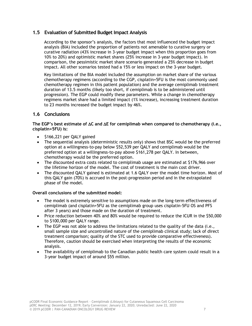### <span id="page-10-0"></span>**1.5 Evaluation of Submitted Budget Impact Analysis**

According to the sponsor's analysis, the factors that most influenced the budget impact analysis (BIA) included the proportion of patients not amenable to curative surgery or curative radiation (43% increase in 3-year budget impact when this proportion goes from 10% to 20%) and optimistic market shares (25% increase in 3-year budget impact). In comparison, the pessimistic market share scenario generated a 25% decrease in budget impact. All other scenarios tested had a 15% or less impact on the 3-year budget.

Key limitations of the BIA model included the assumption on market share of the various chemotherapy regimens (according to the CGP, cisplatin+5FU is the most commonly used chemotherapy regimen in this patient population) and the average cemiplimab treatment duration of 13.5 months (likely too short, if cemiplimab is to be administered until progression). The EGP could modify these parameters. While a change in chemotherapy regimens market share had a limited impact (1% increase), increasing treatment duration to 23 months increased the budget impact by 46%.

### <span id="page-10-1"></span>**1.6 Conclusions**

**The EGP's best estimate of C and E for cemiplimab when compared to chemotherapy (i.e., cisplatin+5FU) is:**

- \$166,221 per QALY gained
- The sequential analysis (deterministic results only) shows that BSC would be the preferred option at a willingness-to-pay below \$52,539 per QALY and cemiplimab would be the preferred option at a willingness-to-pay above \$161,278 per QALY. In between, chemotherapy would be the preferred option.
- The discounted extra costs related to cemiplimab usage are estimated at \$176,966 over the lifetime horizon of the model. The cost of treatment is the main cost driver.
- The discounted QALY gained is estimated at 1.6 QALY over the model time horizon. Most of this QALY gain (70%) is accrued in the post-progression period and in the extrapolated phase of the model.

#### **Overall conclusions of the submitted model:**

- The model is extremely sensitive to assumptions made on the long-term effectiveness of cemiplimab (and cisplatin+5FU as the cemiplimab group uses cisplatin-5FU OS and PFS after 3 years) and those made on the duration of treatment.
- Price reduction between 40% and 80% would be required to reduce the ICUR in the \$50,000 to \$100,000 per QALY range.
- The EGP was not able to address the limitations related to the quality of the data (i.e., small sample size and uncontrolled nature of the cemiplimab clinical study; lack of direct treatment comparison; quality of the STC used to provide comparative effectiveness). Therefore, caution should be exercised when interpreting the results of the economic analysis.
- <span id="page-10-2"></span>• The availability of cemiplimab to the Canadian public health care system could result in a 3-year budget impact of around \$55 million.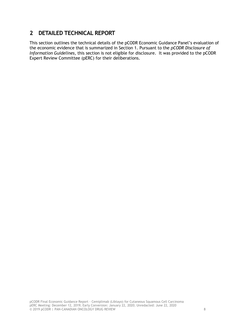# **2 DETAILED TECHNICAL REPORT**

This section outlines the technical details of the pCODR Economic Guidance Panel's evaluation of the economic evidence that is summarized in Section 1. Pursuant to the *pCODR Disclosure of Information Guidelines*, this section is not eligible for disclosure. It was provided to the pCODR Expert Review Committee (pERC) for their deliberations.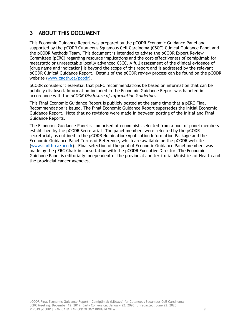# <span id="page-12-0"></span>**3 ABOUT THIS DOCUMENT**

This Economic Guidance Report was prepared by the pCODR Economic Guidance Panel and supported by the pCODR Cutaneous Squamous Cell Carcinoma (CSCC) Clinical Guidance Panel and the pCODR Methods Team. This document is intended to advise the pCODR Expert Review Committee (pERC) regarding resource implications and the cost-effectiveness of cemiplimab for metastatic or unresectable locally advanced CSCC. A full assessment of the clinical evidence of [drug name and indication] is beyond the scope of this report and is addressed by the relevant pCODR Clinical Guidance Report. Details of the pCODR review process can be found on the pCODR website [\(www.cadth.ca/pcodr\)](http://www.cadth.ca/pcodr).

pCODR considers it essential that pERC recommendations be based on information that can be publicly disclosed. Information included in the Economic Guidance Report was handled in accordance with the *pCODR Disclosure of Information Guidelines*.

This Final Economic Guidance Report is publicly posted at the same time that a pERC Final Recommendation is issued. The Final Economic Guidance Report supersedes the Initial Economic Guidance Report. Note that no revisions were made in between posting of the Initial and Final Guidance Reports.

The Economic Guidance Panel is comprised of economists selected from a pool of panel members established by the pCODR Secretariat. The panel members were selected by the pCODR secretariat, as outlined in the pCODR Nomination/Application Information Package and the Economic Guidance Panel Terms of Reference, which are available on the pCODR website [\(www.cadth.ca/pcodr\)](http://www.cadth.ca/pcodr). Final selection of the pool of Economic Guidance Panel members was made by the pERC Chair in consultation with the pCODR Executive Director. The Economic Guidance Panel is editorially independent of the provincial and territorial Ministries of Health and the provincial cancer agencies.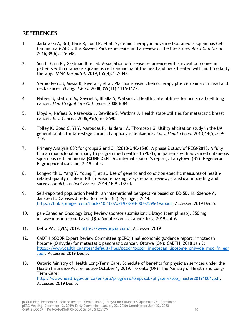# <span id="page-13-0"></span>**REFERENCES**

- 1. Jarkowski A, 3rd, Hare R, Loud P, et al. Systemic therapy in advanced Cutaneous Squamous Cell Carcinoma (CSCC): the Roswell Park experience and a review of the literature. *Am J Clin Oncol.*  2016;39(6):545-548.
- 2. Sun L, Chin RI, Gastman B, et al. Association of disease recurrence with survival outcomes in patients with cutaneous squamous cell carcinoma of the head and neck treated with multimodality therapy. *JAMA Dermatol.* 2019;155(4):442-447.
- 3. Vermorken JB, Mesia R, Rivera F, et al. Platinum-based chemotherapy plus cetuximab in head and neck cancer. *N Engl J Med.* 2008;359(11):1116-1127.
- 4. Nafees B, Stafford M, Gavriel S, Bhalla S, Watkins J. Health state utilities for non small cell lung cancer. *Health Qual Life Outcomes.* 2008;6:84.
- 5. Lloyd A, Nafees B, Narewska J, Dewilde S, Watkins J. Health state utilities for metastatic breast cancer. *Br J Cancer.* 2006;95(6):683-690.
- 6. Tolley K, Goad C, Yi Y, Maroudas P, Haiderali A, Thompson G. Utility elicitation study in the UK general public for late-stage chronic lymphocytic leukaemia. *Eur J Health Econ.* 2013;14(5):749- 759.
- 7. Primary Analysis CSR for groups 2 and 3: R2810-ONC-1540. A phase 2 study of REGN2810, A fully human monoclonal antibody to programmed death - 1 (PD-1), in patients with advanced cutaneous squamous cell carcinoma [**CONFIDENTIAL** internal sponsor's report]. Tarrytown (NY): Regeneron Phgroupaceuticals Inc; 2019 Jul 3.
- 8. Longworth L, Yang Y, Young T, et al. Use of generic and condition-specific measures of healthrelated quality of life in NICE decision-making: a systematic review, statistical modelling and survey. *Health Technol Assess.* 2014;18(9):1-224.
- 9. Self-reported population health: an international perspective based on EQ-5D. In: Szende A, Janssen B, Cabases J, eds. Dordrecht (NL): Springer; 2014: [https://link.springer.com/book/10.1007%2F978-94-007-7596-1#about.](https://link.springer.com/book/10.1007%2F978-94-007-7596-1#about) Accessed 2019 Dec 5.
- 10. pan-Canadian Oncology Drug Review sponsor submission: Libtayo (cemiplimab), 350 mg intravenous infusion. Laval (QC): Sanofi-aventis Canada Inc.; 2019 Jul 9.
- 11. Delta PA. IQVIA; 2019: [https://www.iqvia.com/.](https://www.iqvia.com/) Accessed 2019
- 12. CADTH pCODR Expert Review Committee (pERC) final economic guidance report: irinotecan lipsome (Onivyde) for metastatic pancreatic cancer. Ottawa (ON): CADTH; 2018 Jan 5: [https://www.cadth.ca/sites/default/files/pcodr/pcodr\\_irinotecan\\_liposome\\_onivyde\\_mpc\\_fn\\_egr](https://www.cadth.ca/sites/default/files/pcodr/pcodr_irinotecan_liposome_onivyde_mpc_fn_egr.pdf) [.pdf.](https://www.cadth.ca/sites/default/files/pcodr/pcodr_irinotecan_liposome_onivyde_mpc_fn_egr.pdf) Accessed 2019 Dec 5.
- 13. Ontario Ministry of Health Long-Term Care. Schedule of benefits for physician services under the Health Insurance Act: effective October 1, 2019. Toronto (ON): The Ministry of Health and Long-Term Care: [http://www.health.gov.on.ca/en/pro/programs/ohip/sob/physserv/sob\\_master20191001.pdf.](http://www.health.gov.on.ca/en/pro/programs/ohip/sob/physserv/sob_master20191001.pdf) Accessed 2019 Dec 5.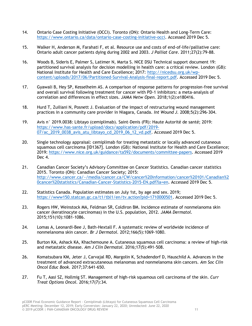- 14. Ontario Case Costing Initiative (OCCI). Toronto (ON): Ontario Health and Long-Term Care: [https://www.ontario.ca/data/ontario-case-costing-initiative-occi.](https://www.ontario.ca/data/ontario-case-costing-initiative-occi) Accessed 2019 Dec 5.
- 15. Walker H, Anderson M, Farahati F, et al. Resource use and costs of end-of-life/palliative care: Ontario adult cancer patients dying during 2002 and 2003. *J Palliat Care.* 2011;27(2):79-88.
- 16. Woods B, Sideris E, Palmer S, Latimer N, Marta S. NICE DSU Technical support document 19: partitioned survival analysis for decision modelling in health care: a critical review. London (GB): National Institute for Health and Care Excellence; 2017: [http://nicedsu.org.uk/wp](http://nicedsu.org.uk/wp-content/uploads/2017/06/Partitioned-Survival-Analysis-final-report.pdf)[content/uploads/2017/06/Partitioned-Survival-Analysis-final-report.pdf.](http://nicedsu.org.uk/wp-content/uploads/2017/06/Partitioned-Survival-Analysis-final-report.pdf) Accessed 2019 Dec 5.
- 17. Gyawali B, Hey SP, Kesselheim AS. A comparison of response patterns for progression-free survival and overall survival following treatment for cancer with PD-1 inhibitors: a meta-analysis of correlation and differences in effect sizes. *JAMA Netw Open.* 2018;1(2):e180416.
- 18. Hurd T, Zuiliani N, Posnett J. Evaluation of the impact of restructuring wound management practices in a community care provider in Niagara, Canada. *Int Wound J.* 2008;5(2):296-304.
- 19. Avis n° 2019.0038: Libtayo (cemiplimab). Saint-Denis (FR): Haute Autorité de santé; 2019: [https://www.has-sante.fr/upload/docs/application/pdf/2019-](https://www.has-sante.fr/upload/docs/application/pdf/2019-07/ac_2019_0038_avis_atu_libtayo_cd_2019_06_12_vd.pdf) [07/ac\\_2019\\_0038\\_avis\\_atu\\_libtayo\\_cd\\_2019\\_06\\_12\\_vd.pdf.](https://www.has-sante.fr/upload/docs/application/pdf/2019-07/ac_2019_0038_avis_atu_libtayo_cd_2019_06_12_vd.pdf) Accessed 2019 Dec 5.
- 20. Single technology appraisal: cemiplimab for treating metastatic or locally advanced cutaneous squamous cell carcinoma [ID1367]. London (GB): National Institute for Health and Care Excellence; 2019: [https://www.nice.org.uk/guidance/ta592/documents/committee-papers.](https://www.nice.org.uk/guidance/ta592/documents/committee-papers) Accessed 2019 Dec 4.
- 21. Canadian Cancer Society's Advisory Committee on Cancer Statistics. Canadian cancer statistics 2015. Toronto (ON): Canadian Cancer Society; 2015: [http://www.cancer.ca/~/media/cancer.ca/CW/cancer%20information/cancer%20101/Canadian%2](http://www.cancer.ca/~/media/cancer.ca/CW/cancer%20information/cancer%20101/Canadian%20cancer%20statistics/Canadian-Cancer-Statistics-2015-EN.pdf?la=en) [0cancer%20statistics/Canadian-Cancer-Statistics-2015-EN.pdf?la=en.](http://www.cancer.ca/~/media/cancer.ca/CW/cancer%20information/cancer%20101/Canadian%20cancer%20statistics/Canadian-Cancer-Statistics-2015-EN.pdf?la=en) Accessed 2019 Dec 5.
- 22. Statistics Canada. Population estimates on July 1st, by age and sex. 2019; [https://www150.statcan.gc.ca/t1/tbl1/en/tv.action?pid=1710000501.](https://www150.statcan.gc.ca/t1/tbl1/en/tv.action?pid=1710000501) Accessed 2019 Dec 5.
- 23. Rogers HW, Weinstock MA, Feldman SR, Coldiron BM. Incidence estimate of nonmelanoma skin cancer (keratinocyte carcinomas) in the U.S. population, 2012. *JAMA Dermatol.*  2015;151(10):1081-1086.
- 24. Lomas A, Leonardi-Bee J, Bath-Hextall F. A systematic review of worldwide incidence of nonmelanoma skin cancer. *Br J Dermatol.* 2012;166(5):1069-1080.
- 25. Burton KA, Ashack KA, Khachemoune A. Cutaneous squamous cell carcinoma: a review of high-risk and metastatic disease. *Am J Clin Dermatol.* 2016;17(5):491-508.
- 26. Komatsubara KM, Jeter J, Carvajal RD, Margolin K, Schadendorf D, Hauschild A. Advances in the treatment of advanced extracutaneous melanomas and nonmelanoma skin cancers. *Am Soc Clin Oncol Educ Book.* 2017;37:641-650.
- 27. Fu T, Aasi SZ, Hollmig ST. Management of high-risk squamous cell carcinoma of the skin. *Curr Treat Options Oncol.* 2016;17(7):34.